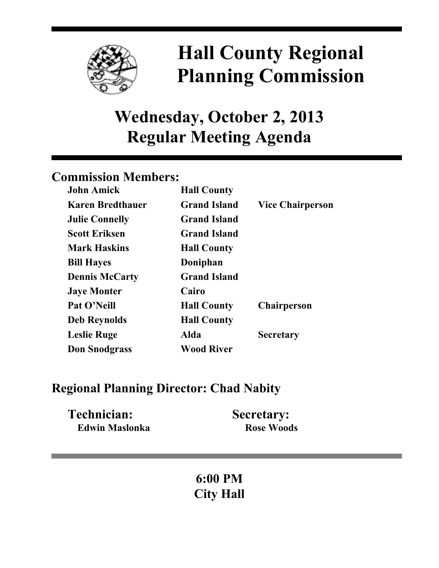

# **Hall County Regional Planning Commission**

## **Wednesday, October 2, 2013 Regular Meeting Agenda**

## **Commission Members:**

| <b>John Amick</b>       | <b>Hall County</b>  |                         |
|-------------------------|---------------------|-------------------------|
| <b>Karen Bredthauer</b> | <b>Grand Island</b> | <b>Vice Chairperson</b> |
| <b>Julie Connelly</b>   | <b>Grand Island</b> |                         |
| <b>Scott Eriksen</b>    | <b>Grand Island</b> |                         |
| <b>Mark Haskins</b>     | <b>Hall County</b>  |                         |
| <b>Bill Hayes</b>       | Doniphan            |                         |
| <b>Dennis McCarty</b>   | <b>Grand Island</b> |                         |
| <b>Jaye Monter</b>      | Cairo               |                         |
| Pat O'Neill             | <b>Hall County</b>  | <b>Chairperson</b>      |
| <b>Deb Reynolds</b>     | <b>Hall County</b>  |                         |
| <b>Leslie Ruge</b>      | Alda                | <b>Secretary</b>        |
| <b>Don Snodgrass</b>    | <b>Wood River</b>   |                         |

### **Regional Planning Director: Chad Nabity**

| Technician:           | <b>Secretary:</b> |
|-----------------------|-------------------|
| <b>Edwin Maslonka</b> | <b>Rose Woods</b> |

## **6:00 PM City Hall**